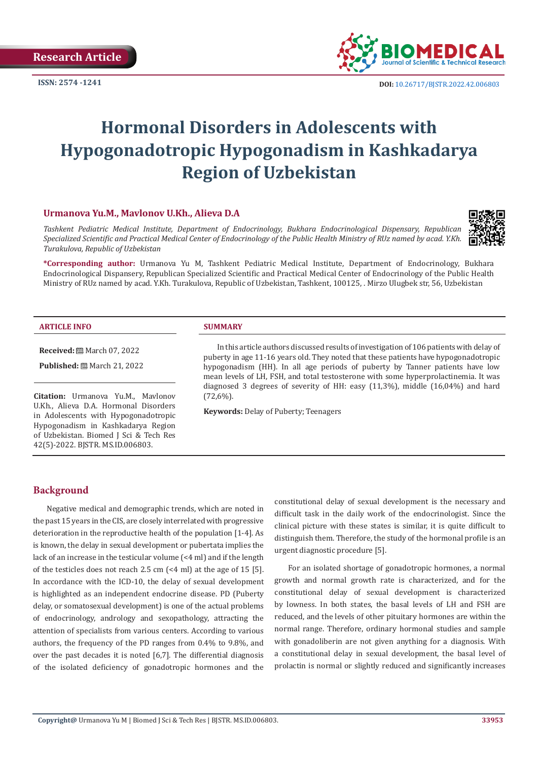**Research Article**



**ISSN:** 2574 -1241 **DOI:** [10.26717/BJSTR.2022.42.006803](https://dx.doi.org/10.26717/BJSTR.2022.42.006803)

# **Hormonal Disorders in Adolescents with Hypogonadotropic Hypogonadism in Kashkadarya Region of Uzbekistan**

# **Urmanova Yu.M., Mavlonov U.Kh., Alieva D.A**

*Tashkent Pediatric Medical Institute, Department of Endocrinology, Bukhara Endocrinological Dispensary, Republican Specialized Scientific and Practical Medical Center of Endocrinology of the Public Health Ministry of RUz named by acad. Y.Kh. Turakulova, Republic of Uzbekistan*



**\*Corresponding author:** Urmanova Yu M, Tashkent Pediatric Medical Institute, Department of Endocrinology, Bukhara Endocrinological Dispansery, Republican Specialized Scientific and Practical Medical Center of Endocrinology of the Public Health Ministry of RUz named by acad. Y.Kh. Turakulova, Republic of Uzbekistan, Tashkent, 100125, . Mirzo Ulugbek str, 56, Uzbekistan

#### **ARTICLE INFO SUMMARY**

#### **Received:** March 07, 2022

**Published:** ■ March 21, 2022

**Citation:** Urmanova Yu.M., Mavlonov U.Kh., Alieva D.A. Hormonal Disorders in Adolescents with Hypogonadotropic Hypogonadism in Kashkadarya Region of Uzbekistan. Biomed J Sci & Tech Res 42(5)-2022. BJSTR. MS.ID.006803.

In this article authors discussed results of investigation of 106 patients with delay of puberty in age 11-16 years old. They noted that these patients have hypogonadotropic hypogonadism (HH). In all age periods of puberty by Tanner patients have low mean levels of LH, FSH, and total testosterone with some hyperprolactinemia. It was diagnosed 3 degrees of severity of HH: easy (11,3%), middle (16,04%) and hard (72,6%).

**Keywords:** Delay of Puberty; Teenagers

#### **Background**

Negative medical and demographic trends, which are noted in the past 15 years in the CIS, are closely interrelated with progressive deterioration in the reproductive health of the population [1-4]. As is known, the delay in sexual development or pubertata implies the lack of an increase in the testicular volume (<4 ml) and if the length of the testicles does not reach 2.5 cm (<4 ml) at the age of 15 [5]. In accordance with the ICD-10, the delay of sexual development is highlighted as an independent endocrine disease. PD (Puberty delay, or somatosexual development) is one of the actual problems of endocrinology, andrology and sexopathology, attracting the attention of specialists from various centers. According to various authors, the frequency of the PD ranges from 0.4% to 9.8%, and over the past decades it is noted [6,7]. The differential diagnosis of the isolated deficiency of gonadotropic hormones and the constitutional delay of sexual development is the necessary and difficult task in the daily work of the endocrinologist. Since the clinical picture with these states is similar, it is quite difficult to distinguish them. Therefore, the study of the hormonal profile is an urgent diagnostic procedure [5].

For an isolated shortage of gonadotropic hormones, a normal growth and normal growth rate is characterized, and for the constitutional delay of sexual development is characterized by lowness. In both states, the basal levels of LH and FSH are reduced, and the levels of other pituitary hormones are within the normal range. Therefore, ordinary hormonal studies and sample with gonadoliberin are not given anything for a diagnosis. With a constitutional delay in sexual development, the basal level of prolactin is normal or slightly reduced and significantly increases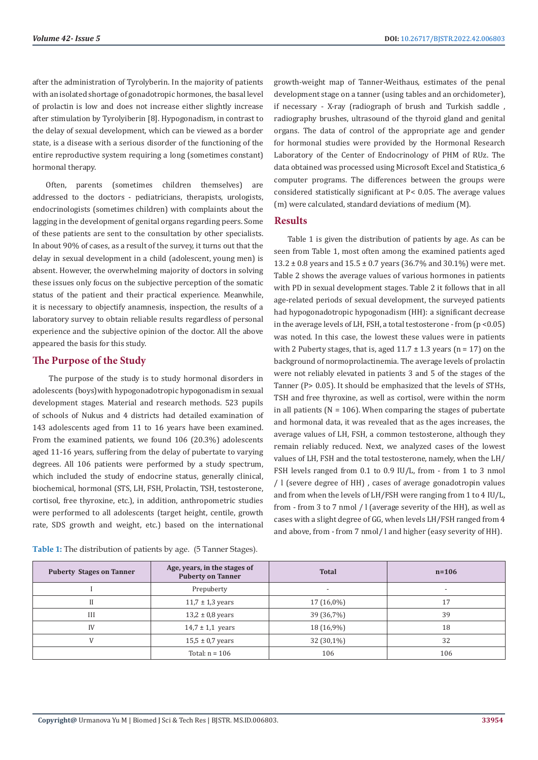after the administration of Tyrolyberin. In the majority of patients with an isolated shortage of gonadotropic hormones, the basal level of prolactin is low and does not increase either slightly increase after stimulation by Tyrolyiberin [8]. Hypogonadism, in contrast to the delay of sexual development, which can be viewed as a border state, is a disease with a serious disorder of the functioning of the entire reproductive system requiring a long (sometimes constant) hormonal therapy.

Often, parents (sometimes children themselves) are addressed to the doctors - pediatricians, therapists, urologists, endocrinologists (sometimes children) with complaints about the lagging in the development of genital organs regarding peers. Some of these patients are sent to the consultation by other specialists. In about 90% of cases, as a result of the survey, it turns out that the delay in sexual development in a child (adolescent, young men) is absent. However, the overwhelming majority of doctors in solving these issues only focus on the subjective perception of the somatic status of the patient and their practical experience. Meanwhile, it is necessary to objectify anamnesis, inspection, the results of a laboratory survey to obtain reliable results regardless of personal experience and the subjective opinion of the doctor. All the above appeared the basis for this study.

# **The Purpose of the Study**

 The purpose of the study is to study hormonal disorders in adolescents (boys)with hypogonadotropic hypogonadism in sexual development stages. Material and research methods. 523 pupils of schools of Nukus and 4 districts had detailed examination of 143 adolescents aged from 11 to 16 years have been examined. From the examined patients, we found 106 (20.3%) adolescents aged 11-16 years, suffering from the delay of pubertate to varying degrees. All 106 patients were performed by a study spectrum, which included the study of endocrine status, generally clinical, biochemical, hormonal (STS, LH, FSH, Prolactin, TSH, testosterone, cortisol, free thyroxine, etc.), in addition, anthropometric studies were performed to all adolescents (target height, centile, growth rate, SDS growth and weight, etc.) based on the international

**Таble 1:** The distribution of patients by age. (5 Tanner Stages).

growth-weight map of Tanner-Weithaus, estimates of the penal development stage on a tanner (using tables and an orchidometer), if necessary - X-ray (radiograph of brush and Turkish saddle , radiography brushes, ultrasound of the thyroid gland and genital organs. The data of control of the appropriate age and gender for hormonal studies were provided by the Hormonal Research Laboratory of the Center of Endocrinology of PHM of RUz. The data obtained was processed using Microsoft Excel and Statistica\_6 computer programs. The differences between the groups were considered statistically significant at Р< 0.05. The average values (m) were calculated, standard deviations of medium (M).

#### **Results**

Table 1 is given the distribution of patients by age. As can be seen from Table 1, most often among the examined patients aged 13.2  $\pm$  0.8 years and 15.5  $\pm$  0.7 years (36.7% and 30.1%) were met. Table 2 shows the average values of various hormones in patients with PD in sexual development stages. Table 2 it follows that in all age-related periods of sexual development, the surveyed patients had hypogonadotropic hypogonadism (HH): a significant decrease in the average levels of LH, FSH, a total testosterone - from (p <0.05) was noted. In this case, the lowest these values were in patients with 2 Puberty stages, that is, aged  $11.7 \pm 1.3$  years (n = 17) on the background of normoprolactinemia. The average levels of prolactin were not reliably elevated in patients 3 and 5 of the stages of the Tanner (P> 0.05). It should be emphasized that the levels of STHs, TSH and free thyroxine, as well as cortisol, were within the norm in all patients ( $N = 106$ ). When comparing the stages of pubertate and hormonal data, it was revealed that as the ages increases, the average values of LH, FSH, a common testosterone, although they remain reliably reduced. Next, we analyzed cases of the lowest values of LH, FSH and the total testosterone, namely, when the LH/ FSH levels ranged from 0.1 to 0.9 IU/L, from - from 1 to 3 nmol / l (severe degree of HH) , cases of average gonadotropin values and from when the levels of LH/FSH were ranging from 1 to 4 IU/L, from - from 3 to 7 nmol / l (average severity of the HH), as well as cases with a slight degree of GG, when levels LH/FSH ranged from 4 and above, from - from 7 nmol/ l and higher (easy severity of HH).

| <b>Puberty Stages on Tanner</b> | Age, years, in the stages of<br><b>Puberty on Tanner</b> | <b>Total</b>             | $n = 106$                |  |
|---------------------------------|----------------------------------------------------------|--------------------------|--------------------------|--|
|                                 | Prepuberty                                               | $\overline{\phantom{a}}$ | $\overline{\phantom{a}}$ |  |
|                                 | $11,7 \pm 1,3$ years                                     | $17(16,0\%)$             | 17                       |  |
| III                             | $13,2 \pm 0,8$ years                                     | 39 (36,7%)               | 39                       |  |
| IV                              | $14,7 \pm 1,1$ years                                     | 18 (16,9%)               | 18                       |  |
|                                 | $15,5 \pm 0.7$ years                                     | $32(30,1\%)$             | 32                       |  |
|                                 | Total: $n = 106$                                         | 106                      | 106                      |  |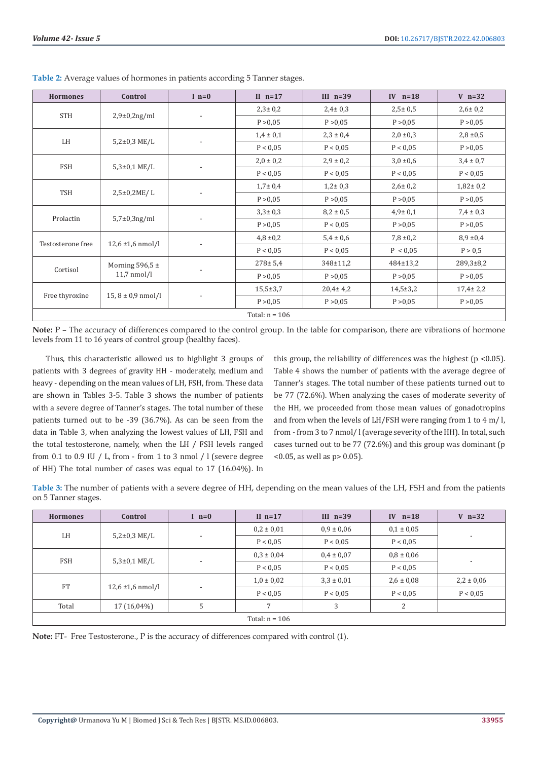| <b>Hormones</b>   | Control                              | $I_n=0$                  | II $n=17$      | III $n=39$     | IV $n=18$      | $V$ n=32        |
|-------------------|--------------------------------------|--------------------------|----------------|----------------|----------------|-----------------|
| <b>STH</b>        | $2,9\pm0,2ng/ml$                     | $\overline{\phantom{a}}$ | $2,3 \pm 0,2$  | $2,4 \pm 0.3$  | $2,5 \pm 0.5$  | $2,6 \pm 0,2$   |
|                   |                                      |                          | P > 0.05       | P > 0.05       | P > 0.05       | P > 0,05        |
|                   | $5,2\pm0,3$ ME/L                     |                          | $1,4 \pm 0,1$  | $2,3 \pm 0,4$  | $2,0 \pm 0,3$  | $2,8 \pm 0.5$   |
| LH                |                                      |                          | P < 0.05       | P < 0.05       | P < 0.05       | P > 0,05        |
|                   | $5,3\pm0,1$ ME/L                     | $\overline{\phantom{a}}$ | $2,0 \pm 0,2$  | $2,9 \pm 0,2$  | $3,0 \pm 0,6$  | $3,4 \pm 0,7$   |
| FSH               |                                      |                          | P < 0.05       | P < 0.05       | P < 0.05       | P < 0.05        |
|                   | $2,5\pm0,2ME/L$                      | $\overline{a}$           | $1,7 \pm 0,4$  | $1,2 \pm 0,3$  | $2,6 \pm 0,2$  | $1,82 \pm 0.2$  |
| <b>TSH</b>        |                                      |                          | P > 0,05       | P > 0,05       | P > 0,05       | P > 0,05        |
|                   | $5,7\pm0,3$ ng/ml                    |                          | $3,3 \pm 0,3$  | $8,2 \pm 0.5$  | $4,9 \pm 0,1$  | $7,4 \pm 0,3$   |
| Prolactin         |                                      |                          | P > 0,05       | P < 0.05       | P > 0,05       | P > 0,05        |
| Testosterone free | $12,6 \pm 1,6 \text{ nmol/l}$        |                          | $4,8 \pm 0,2$  | $5,4 \pm 0,6$  | $7,8 \pm 0.2$  | 8,9,±0,4        |
|                   |                                      |                          | P < 0.05       | P < 0.05       | P < 0.05       | P > 0.5         |
| Cortisol          | Morning 596,5 $\pm$<br>$11,7$ nmol/l |                          | $278 \pm 5,4$  | 348±11,2       | $484 \pm 13.2$ | $289,3 \pm 8,2$ |
|                   |                                      |                          | P > 0,05       | P > 0,05       | P > 0,05       | P > 0,05        |
| Free thyroxine    | $15, 8 \pm 0.9$ nmol/l               |                          | $15,5 \pm 3,7$ | $20,4 \pm 4,2$ | $14,5 \pm 3,2$ | $17,4 \pm 2,2$  |
|                   |                                      |                          | P > 0,05       | P > 0,05       | P > 0,05       | P > 0,05        |
| Total: $n = 106$  |                                      |                          |                |                |                |                 |

**Таble 2:** Average values of hormones in patients according 5 Tanner stages.

**Note:** Р – The accuracy of differences compared to the control group. In the table for comparison, there are vibrations of hormone levels from 11 to 16 years of control group (healthy faces).

Thus, this characteristic allowed us to highlight 3 groups of patients with 3 degrees of gravity HH - moderately, medium and heavy - depending on the mean values of LH, FSH, from. These data are shown in Tables 3-5. Table 3 shows the number of patients with a severe degree of Tanner's stages. The total number of these patients turned out to be -39 (36.7%). As can be seen from the data in Table 3, when analyzing the lowest values of LH, FSH and the total testosterone, namely, when the LH / FSH levels ranged from 0.1 to 0.9 IU / L, from - from 1 to 3 nmol / l (severe degree of HH) The total number of cases was equal to 17 (16.04%). In

this group, the reliability of differences was the highest ( $p$  <0.05). Table 4 shows the number of patients with the average degree of Tanner's stages. The total number of these patients turned out to be 77 (72.6%). When analyzing the cases of moderate severity of the HH, we proceeded from those mean values of gonadotropins and from when the levels of LH/FSH were ranging from 1 to 4 m/ l, from - from 3 to 7 nmol/ l (average severity of the HH). In total, such cases turned out to be 77 (72.6%) and this group was dominant (p  $\leq 0.05$ , as well as p  $> 0.05$ ).

**Таble 3:** The number of patients with a severe degree of HH, depending on the mean values of the LH, FSH and from the patients on 5 Tanner stages.

| <b>Hormones</b>  | Control                       | I $n=0$                  | II $n=17$      | III $n=39$     | IV $n=18$      | $V$ n=32                 |
|------------------|-------------------------------|--------------------------|----------------|----------------|----------------|--------------------------|
| LH               | $5,2\pm0,3$ ME/L              | $\overline{\phantom{a}}$ | $0.2 \pm 0.01$ | $0.9 \pm 0.06$ | $0,1 \pm 0,05$ | $\overline{\phantom{a}}$ |
|                  |                               |                          | P < 0.05       | P < 0.05       | P < 0.05       |                          |
| <b>FSH</b>       | $5,3{\pm}0,1$ ME/L            | $\overline{\phantom{a}}$ | $0.3 \pm 0.04$ | $0.4 \pm 0.07$ | $0.8 \pm 0.06$ | $\overline{\phantom{a}}$ |
|                  |                               |                          | P < 0.05       | P < 0.05       | P < 0.05       |                          |
| <b>FT</b>        | $12,6 \pm 1,6 \text{ nmol/l}$ | $\overline{\phantom{a}}$ | $1.0 \pm 0.02$ | $3.3 \pm 0.01$ | $2,6 \pm 0,08$ | $2,2 \pm 0,06$           |
|                  |                               |                          | P < 0.05       | P < 0.05       | P < 0.05       | P < 0.05                 |
| Total            | 17 (16,04%)                   | 5                        | 7              | 3              | 2              |                          |
| Total: $n = 106$ |                               |                          |                |                |                |                          |

**Note:** FT- Free Testosterone., P is the accuracy of differences compared with control (1).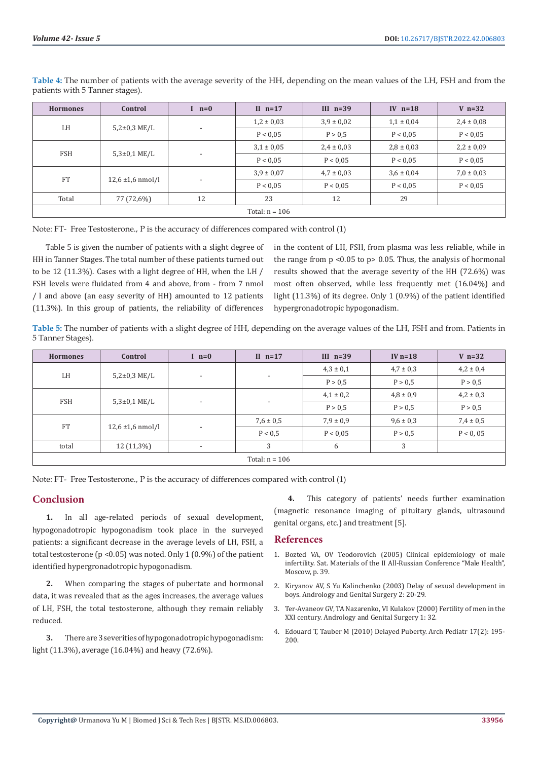| <b>Hormones</b>  | Control                       | $I$ $n=0$                | II $n=17$      | III $n=39$     | IV $n=18$      | $V$ n=32       |
|------------------|-------------------------------|--------------------------|----------------|----------------|----------------|----------------|
| LH               | $5,2\pm0,3$ ME/L              | $\overline{\phantom{a}}$ | $1,2 \pm 0,03$ | $3,9 \pm 0,02$ | $1,1 \pm 0,04$ | $2,4 \pm 0,08$ |
|                  |                               |                          | P < 0.05       | P > 0.5        | P < 0.05       | P < 0.05       |
| <b>FSH</b>       | $5,3{\pm}0,1$ ME/L            | $\overline{\phantom{a}}$ | $3,1 \pm 0,05$ | $2,4 \pm 0,03$ | $2,8 \pm 0,03$ | $2,2 \pm 0,09$ |
|                  |                               |                          | P < 0.05       | P < 0.05       | P < 0.05       | P < 0.05       |
| <b>FT</b>        | $12,6 \pm 1,6 \text{ nmol/l}$ | . .                      | $3.9 \pm 0.07$ | $4.7 \pm 0.03$ | $3.6 \pm 0.04$ | $7,0 \pm 0,03$ |
|                  |                               |                          | P < 0.05       | P < 0.05       | P < 0.05       | P < 0.05       |
| Total            | 77 (72,6%)                    | 12                       | 23             | 12             | 29             |                |
| Total: $n = 106$ |                               |                          |                |                |                |                |

**Таble 4:** The number of patients with the average severity of the HH, depending on the mean values of the LH, FSH and from the patients with 5 Tanner stages).

Note: FT- Free Testosterone., P is the accuracy of differences compared with control (1)

Table 5 is given the number of patients with a slight degree of HH in Tanner Stages. The total number of these patients turned out to be 12 (11.3%). Cases with a light degree of HH, when the LH / FSH levels were fluidated from 4 and above, from - from 7 nmol / l and above (an easy severity of HH) amounted to 12 patients (11.3%). In this group of patients, the reliability of differences

in the content of LH, FSH, from plasma was less reliable, while in the range from p <0.05 to p> 0.05. Thus, the analysis of hormonal results showed that the average severity of the HH (72.6%) was most often observed, while less frequently met (16.04%) and light (11.3%) of its degree. Only 1 (0.9%) of the patient identified hypergronadotropic hypogonadism.

**Таble 5:** The number of patients with a slight degree of HH, depending on the average values of the LH, FSH and from. Patients in 5 Tanner Stages).

| <b>Hormones</b>  | Control                       | $l$ n=0                  | II $n=17$                | III $n=39$    | IV $n=18$     | $V$ n=32      |
|------------------|-------------------------------|--------------------------|--------------------------|---------------|---------------|---------------|
| LH               | $5,2\pm0,3$ ME/L              | $\overline{\phantom{a}}$ | $\overline{\phantom{a}}$ | $4,3 \pm 0,1$ | $4.7 \pm 0.3$ | $4,2 \pm 0,4$ |
|                  |                               |                          |                          | P > 0.5       | P > 0.5       | P > 0,5       |
| FSH              | $5,3{\pm}0,1$ ME/L            | $\overline{\phantom{a}}$ | $\overline{\phantom{a}}$ | $4,1 \pm 0,2$ | $4,8 \pm 0,9$ | $4,2 \pm 0,3$ |
|                  |                               |                          |                          | P > 0.5       | P > 0,5       | P > 0,5       |
| <b>FT</b>        | $12,6 \pm 1,6 \text{ nmol/l}$ | $\overline{\phantom{a}}$ | $7,6 \pm 0.5$            | $7,9 \pm 0,9$ | $9,6 \pm 0,3$ | $7,4 \pm 0.5$ |
|                  |                               |                          | P < 0.5                  | P < 0.05      | P > 0.5       | P < 0,05      |
| total            | $12(11,3\%)$                  | $\overline{\phantom{a}}$ | 3                        | 6             | 3             |               |
| Total: $n = 106$ |                               |                          |                          |               |               |               |

Note: FT- Free Testosterone., P is the accuracy of differences compared with control (1)

# **Conclusion**

**1.** In all age-related periods of sexual development, hypogonadotropic hypogonadism took place in the surveyed patients: a significant decrease in the average levels of LH, FSH, a total testosterone (p <0.05) was noted. Only 1 (0.9%) of the patient identified hypergronadotropic hypogonadism.

**2.** When comparing the stages of pubertate and hormonal data, it was revealed that as the ages increases, the average values of LH, FSH, the total testosterone, although they remain reliably reduced.

**3.** There are 3 severities of hypogonadotropic hypogonadism: light (11.3%), average (16.04%) and heavy (72.6%).

**4.** This category of patients' needs further examination (magnetic resonance imaging of pituitary glands, ultrasound genital organs, etc.) and treatment [5].

# **References**

- 1. Bozted VA, OV Teodorovich (2005) Clinical epidemiology of male infertility. Sat. Materials of the II All-Russian Conference "Male Health", Moscow, p. 39.
- 2. Kiryanov AV, S Yu Kalinchenko (2003) Delay of sexual development in boys. Andrology and Genital Surgery 2: 20-29.
- 3. Ter-Avaneov GV, TA Nazarenko, VI Kulakov (2000) Fertility of men in the XXI century. Andrology and Genital Surgery 1: 32.
- 4. [Edouard T, Tauber M \(2010\) Delayed Puberty. Arch Pediatr 17\(2\): 195-](https://pubmed.ncbi.nlm.nih.gov/19892534/) [200.](https://pubmed.ncbi.nlm.nih.gov/19892534/)